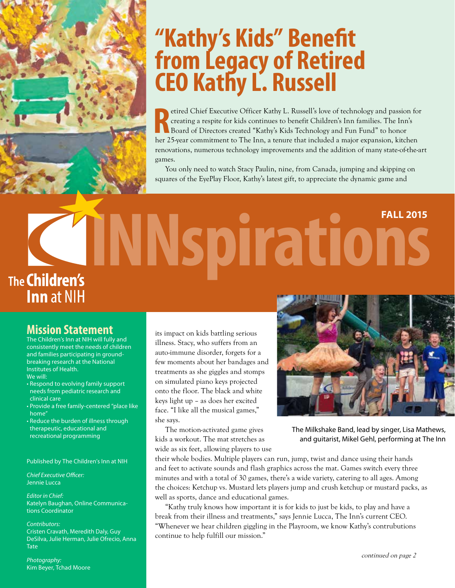## **"Kathy's Kids" Benefit from Legacy of Retired CEO Kathy L. Russell**

Franch Chief Executive Officer Kathy L. Russell's love of technology and passion for creating a respite for kids continues to benefit Children's Inn families. The Inn's Board of Directors created "Kathy's Kids Technology a etired Chief Executive Officer Kathy L. Russell's love of technology and passion for creating a respite for kids continues to benefit Children's Inn families. The Inn's Board of Directors created "Kathy's Kids Technology and Fun Fund" to honor renovations, numerous technology improvements and the addition of many state-of-the-art games.

You only need to watch Stacy Paulin, nine, from Canada, jumping and skipping on squares of the EyePlay Floor, Kathy's latest gift, to appreciate the dynamic game and

# **INNspirationsFALL 2015 The Children's Innat NIH**

#### **Mission Statement**

The Children's Inn at NIH will fully and consistently meet the needs of children and families participating in groundbreaking research at the National Institutes of Health. We will:

- Respond to evolving family support needs from pediatric research and clinical care
- Provide a free family-centered "place like home"
- Reduce the burden of illness through therapeutic, educational and recreational programming

Published by The Children's Inn at NIH

*Chief Executive Officer:* Jennie Lucca

*Editor in Chief:* Katelyn Baughan, Online Communications Coordinator

*Contributors:*

Cristen Cravath, Meredith Daly, Guy DeSilva, Julie Herman, Julie Ofrecio, Anna Tate

*Photography:* Kim Beyer, Tchad Moore its impact on kids battling serious illness. Stacy, who suffers from an auto-immune disorder, forgets for a few moments about her bandages and treatments as she giggles and stomps on simulated piano keys projected onto the floor. The black and white keys light up – as does her excited face. "I like all the musical games," she says.

The motion-activated game gives kids a workout. The mat stretches as wide as six feet, allowing players to use



The Milkshake Band, lead by singer, Lisa Mathews, and guitarist, Mikel Gehl, performing at The Inn

their whole bodies. Multiple players can run, jump, twist and dance using their hands and feet to activate sounds and flash graphics across the mat. Games switch every three minutes and with a total of 30 games, there's a wide variety, catering to all ages. Among the choices: Ketchup vs. Mustard lets players jump and crush ketchup or mustard packs, as well as sports, dance and educational games.

"Kathy truly knows how important it is for kids to just be kids, to play and have a break from their illness and treatments," says Jennie Lucca, The Inn's current CEO. "Whenever we hear children giggling in the Playroom, we know Kathy's contrubutions continue to help fulfill our mission."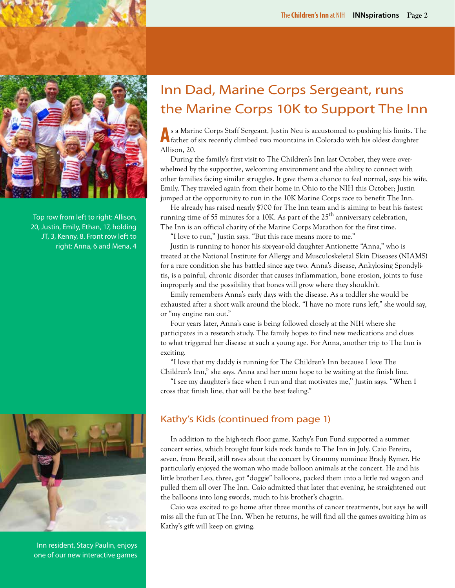

Top row from left to right: Allison, 20, Justin, Emily, Ethan, 17, holding JT, 3, Kenny, 8. Front row left to right: Anna, 6 and Mena, 4



Inn resident, Stacy Paulin, enjoys one of our new interactive games

## Inn Dad, Marine Corps Sergeant, runs the Marine Corps 10K to Support The Inn

As a Marine Corps Staff Sergeant, Justin Neu is accustomed to pushing his limits. The father of six recently climbed two mountains in Colorado with his oldest daughter Allison, 20.

During the family's first visit to The Children's Inn last October, they were overwhelmed by the supportive, welcoming environment and the ability to connect with other families facing similar struggles. It gave them a chance to feel normal, says his wife, Emily. They traveled again from their home in Ohio to the NIH this October; Justin jumped at the opportunity to run in the 10K Marine Corps race to benefit The Inn.

He already has raised nearly \$700 for The Inn team and is aiming to beat his fastest running time of 55 minutes for a 10K. As part of the  $25<sup>th</sup>$  anniversary celebration, The Inn is an official charity of the Marine Corps Marathon for the first time.

"I love to run," Justin says. "But this race means more to me."

Justin is running to honor his six-year-old daughter Antionette "Anna," who is treated at the National Institute for Allergy and Musculoskeletal Skin Diseases (NIAMS) for a rare condition she has battled since age two. Anna's disease, Ankylosing Spondylitis, is a painful, chronic disorder that causes inflammation, bone erosion, joints to fuse improperly and the possibility that bones will grow where they shouldn't.

Emily remembers Anna's early days with the disease. As a toddler she would be exhausted after a short walk around the block. "I have no more runs left," she would say, or "my engine ran out."

Four years later, Anna's case is being followed closely at the NIH where she participates in a research study. The family hopes to find new medications and clues to what triggered her disease at such a young age. For Anna, another trip to The Inn is exciting.

"I love that my daddy is running for The Children's Inn because I love The Children's Inn," she says. Anna and her mom hope to be waiting at the finish line.

"I see my daughter's face when I run and that motivates me,'' Justin says. "When I cross that finish line, that will be the best feeling."

#### Kathy's Kids (continued from page 1)

In addition to the high-tech floor game, Kathy's Fun Fund supported a summer concert series, which brought four kids rock bands to The Inn in July. Caio Pereira, seven, from Brazil, still raves about the concert by Grammy nominee Brady Rymer. He particularly enjoyed the woman who made balloon animals at the concert. He and his little brother Leo, three, got "doggie" balloons, packed them into a little red wagon and pulled them all over The Inn. Caio admitted that later that evening, he straightened out the balloons into long swords, much to his brother's chagrin.

Caio was excited to go home after three months of cancer treatments, but says he will miss all the fun at The Inn. When he returns, he will find all the games awaiting him as Kathy's gift will keep on giving.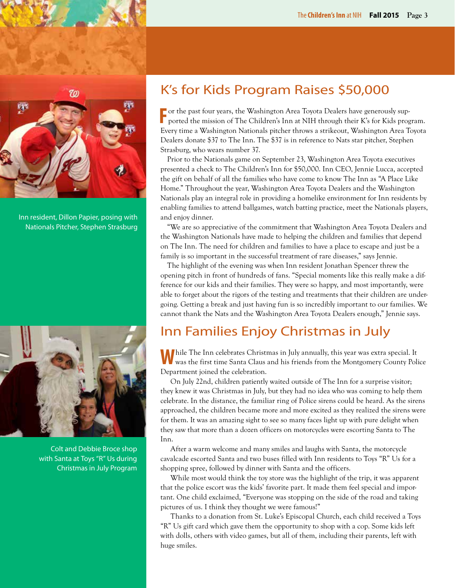

Inn resident, Dillon Papier, posing with Nationals Pitcher, Stephen Strasburg



Colt and Debbie Broce shop with Santa at Toys "R" Us during Christmas in July Program

## K's for Kids Program Raises \$50,000

**F** or the past four years, the Washington Area Toyota Dealers have generously supported the mission of The Children's Inn at NIH through their K's for Kids prog ported the mission of The Children's Inn at NIH through their K's for Kids program. Every time a Washington Nationals pitcher throws a strikeout, Washington Area Toyota Dealers donate \$37 to The Inn. The \$37 is in reference to Nats star pitcher, Stephen Strasburg, who wears number 37.

Prior to the Nationals game on September 23, Washington Area Toyota executives presented a check to The Children's Inn for \$50,000. Inn CEO, Jennie Lucca, accepted the gift on behalf of all the families who have come to know The Inn as "A Place Like Home." Throughout the year, Washington Area Toyota Dealers and the Washington Nationals play an integral role in providing a homelike environment for Inn residents by enabling families to attend ballgames, watch batting practice, meet the Nationals players, and enjoy dinner.

"We are so appreciative of the commitment that Washington Area Toyota Dealers and the Washington Nationals have made to helping the children and families that depend on The Inn. The need for children and families to have a place to escape and just be a family is so important in the successful treatment of rare diseases," says Jennie.

The highlight of the evening was when Inn resident Jonathan Spencer threw the opening pitch in front of hundreds of fans. "Special moments like this really make a difference for our kids and their families. They were so happy, and most importantly, were able to forget about the rigors of the testing and treatments that their children are undergoing. Getting a break and just having fun is so incredibly important to our families. We cannot thank the Nats and the Washington Area Toyota Dealers enough," Jennie says.

## Inn Families Enjoy Christmas in July

While The Inn celebrates Christmas in July annually, this year was extra special. It W was the first time Santa Claus and his friends from the Montgomery County Police Department joined the celebration.

On July 22nd, children patiently waited outside of The Inn for a surprise visitor; they knew it was Christmas in July, but they had no idea who was coming to help them celebrate. In the distance, the familiar ring of Police sirens could be heard. As the sirens approached, the children became more and more excited as they realized the sirens were for them. It was an amazing sight to see so many faces light up with pure delight when they saw that more than a dozen officers on motorcycles were escorting Santa to The Inn.

After a warm welcome and many smiles and laughs with Santa, the motorcycle cavalcade escorted Santa and two buses filled with Inn residents to Toys "R" Us for a shopping spree, followed by dinner with Santa and the officers.

While most would think the toy store was the highlight of the trip, it was apparent that the police escort was the kids' favorite part. It made them feel special and important. One child exclaimed, "Everyone was stopping on the side of the road and taking pictures of us. I think they thought we were famous!"

Thanks to a donation from St. Luke's Episcopal Church, each child received a Toys "R" Us gift card which gave them the opportunity to shop with a cop. Some kids left with dolls, others with video games, but all of them, including their parents, left with huge smiles.